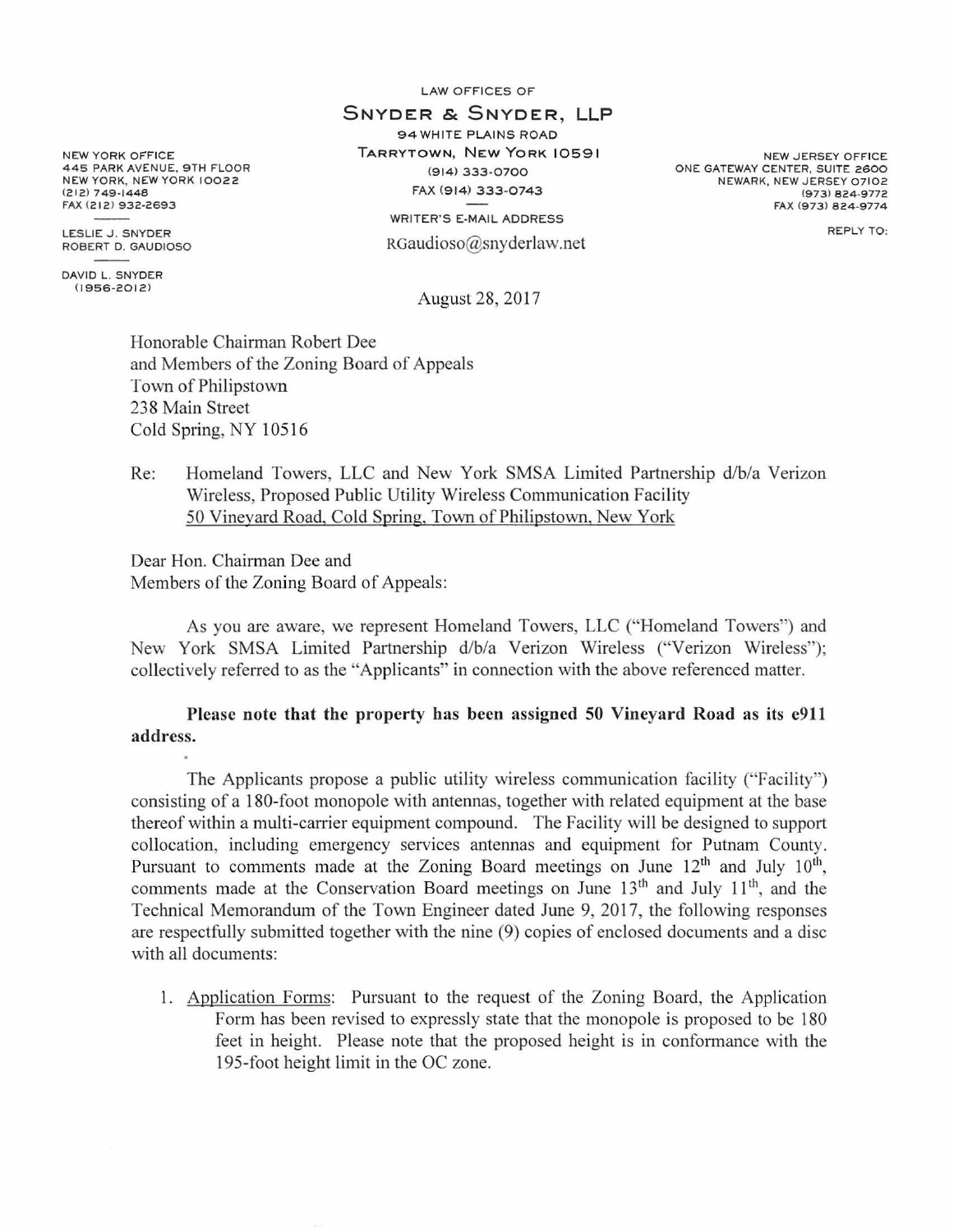LAW OFFICES OF

## SNYDER & SNYDER, **LLP**  94 WHITE PLAINS ROAD

TARRYTOWN, NEW YORK 10591 (914) 333-0700 FAX (914) *333-0743* 

> WRITER'S E-MAIL ADDRESS RGaudioso@snyderlaw.net

NEW JERSEY OFFICE ONE GATEWAY CENTER, SUITE 2600 NEWARK, NEW JERSEY 07102 (973 ) 824-9772 FAX 1973) 824-9774

REPLY TO:

August 28, 2017

Honorable Chairman Robert Dee and Members of the Zoning Board of Appeals Town of Philipstown 238 Main Street Cold Spring, NY 10516

## Re: Homeland Towers, LLC and New York SMSA Limited Partnership d/b/a Verizon Wireless, Proposed Public Utility Wireless Communication Facility 50 Vineyard Road, Cold Spring, Town of Philipstown, New York

Dear Hon. Chairman Dee and Members of the Zoning Board of Appeals:

As you are aware, we represent Homeland Towers, LLC ("Homeland Towers") and New York SMSA Limited Partnership d/b/a Verizon Wireless ("Verizon Wireless"); collectively referred to as the "Applicants" in connection with the above referenced matter.

Please note that the property has been assigned 50 Vineyard Road as its e911 address.

The Applicants propose a public utility wireless communication facility ("Facility") consisting of a 180-foot monopole with antennas, together with related equipment at the base thereof within a multi-carrier equipment compound. The Facility will be designed to support collocation, including emergency services antennas and equipment for Putnam County. Pursuant to comments made at the Zoning Board meetings on June  $12<sup>th</sup>$  and July  $10<sup>th</sup>$ , comments made at the Conservation Board meetings on June  $13<sup>th</sup>$  and July  $11<sup>th</sup>$ , and the Technical Memorandum of the Town Engineer dated June 9, 2017, the following responses are respectfully submitted together with the nine (9) copies of enclosed documents and a disc with all documents:

1. Application Forms: Pursuant to the request of the Zoning Board, the Application Form has been revised to expressly state that the monopole is proposed to be 180 feet in height. Please note that the proposed height is in conformance with the 195-foot height limit in the OC zone.

NEW YORK OFFICE 445 PARK AVENUE, 9TH FLOOR NEW YORK, NEW YORK 10022  $(212)$  749-1448 FAX (212) 932-2693

LESLIE J. SNYDER ROBERT D. GAUDIOSO

DAVID L. SNYDER  $(1956 - 2012)$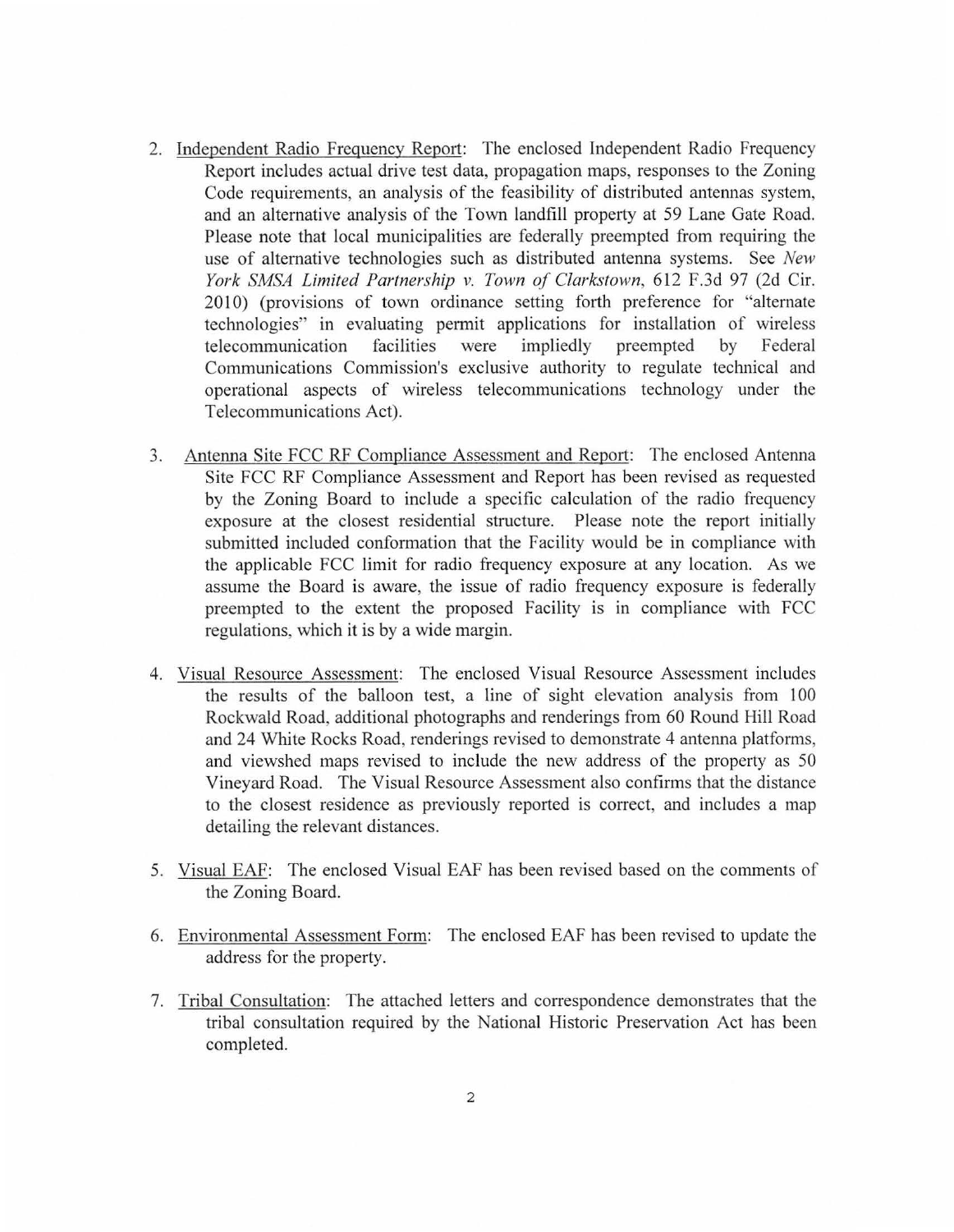- 2. Independent Radio Frequency Report: The enclosed Independent Radio Frequency Report includes actual drive test data, propagation maps, responses to the Zoning Code requirements, an analysis of the feasibility of distributed antennas system, and an alternative analysis of the Town landfill property at 59 Lane Gate Road. Please note that local municipalities are federally preempted from requiring the use of alternative technologies such as distributed antenna systems. See *New York SMSA Limited Partnership v. Town of Clarkstown,* 612 F.3d 97 (2d Cir. 2010) (provisions of town ordinance setting forth preference for "alternate technologies" in evaluating permit applications for installation of wireless telecommunication facilities were impliedly preempted by Federal Communications Commission's exclusive authority to regulate technical and operational aspects of wireless telecommunications teclmology under the Telecommunications Act).
- 3. Antenna Site FCC RF Compliance Assessment and Report: The enclosed Antenna Site FCC RF Compliance Assessment and Report has been revised as requested by the Zoning Board to include a specific calculation of the radio frequency exposure at the closest residential structure. Please note the report initially submitted included conformation that the Facility would be in compliance with the applicable FCC limit for radio frequency exposure at any location. As we assume the Board is aware, the issue of radio frequency exposure is federally preempted to the extent the proposed Facility is in compliance with FCC regulations, which it is by a wide margin.
- 4. Visual Resource Assessment: The enclosed Visual Resource Assessment includes the results of the balloon test, a line of sight elevation analysis from  $100$ Rockwald Road, additional photographs and renderings from 60 Round Hill Road and 24 White Rocks Road, renderings revised to demonstrate 4 antenna platforms, and viewshed maps revised to include the new address of the property as 50 Vineyard Road. The Visual Resource Assessment also confirms that the distance to the closest residence as previously reported is correct, and includes a map detailing the relevant distances.
- 5. Visual EAF: The enclosed Visual EAF has been revised based on the comments of the Zoning Board.
- 6. Environmental Assessment Form: The enclosed EAF has been revised to update the address for the property.
- 7. Tribal Consultation: The attached letters and correspondence demonstrates that the tribal consultation required by the National Historic Preservation Act has been completed.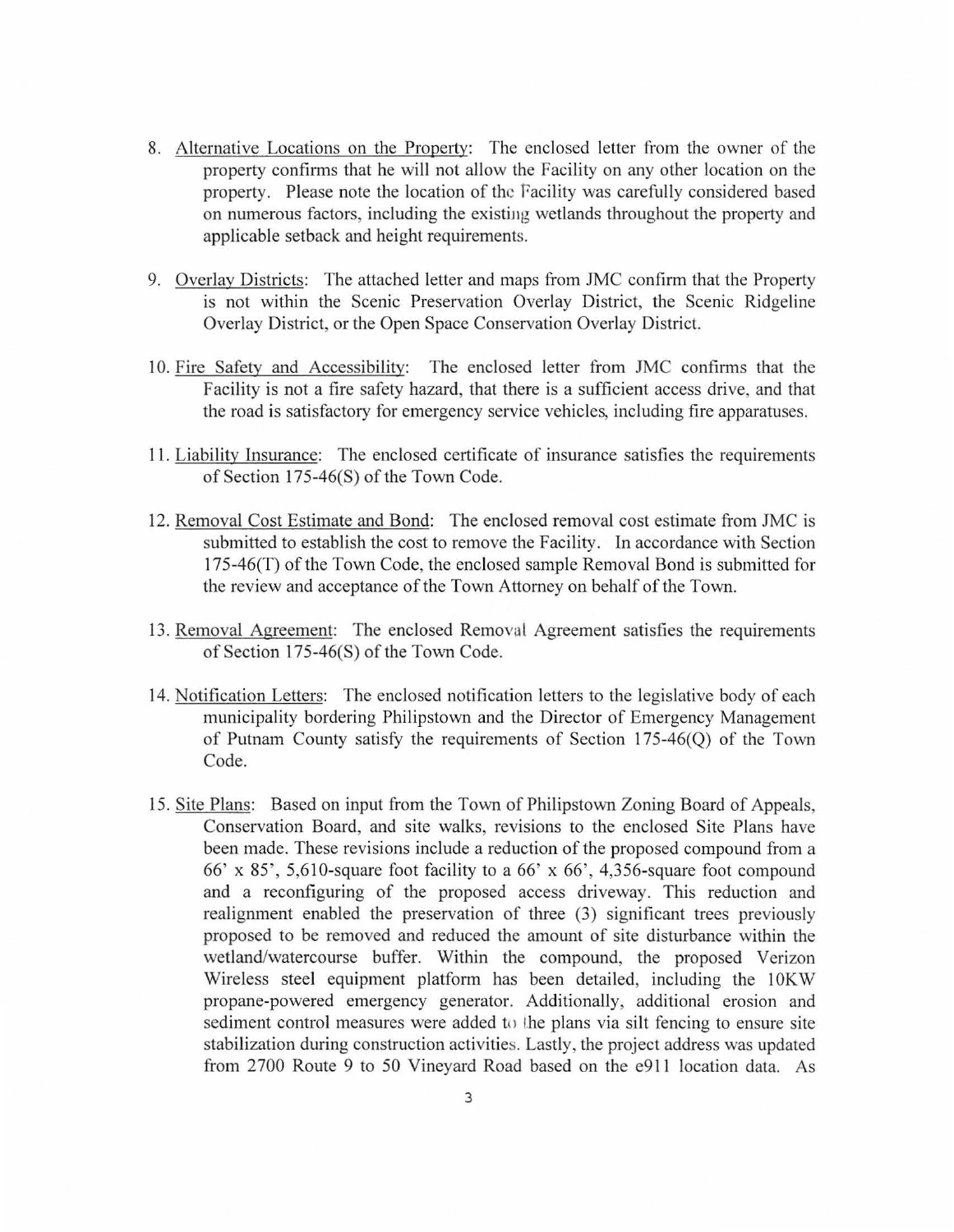- 8. Alternative Locations on the Propetty: The enclosed letter from the owner of the property confirms that he will not allow the Facility on any other location on the property. Please note the location of the Facility was carefully considered based on numerous factors, including the existing wetlands throughout the property and applicable setback and height requirements.
- 9. Overlay Districts: The attached letter and maps from JMC confirm that the Property is not within the Scenic Preservation Overlay District, the Scenic Ridgeline Overlay District, or the Open Space Conservation Overlay District.
- 10. Fire Safety and Accessibility: The enclosed letter from JMC confirms that the Facility is not a fire safety hazard, that there is a sufficient access drive, and that the road is satisfactory for emergency service vehicles, including fire apparatuses.
- 11. Liability Insurance: The enclosed certificate of insurance satisfies the requirements of Section  $175-46(S)$  of the Town Code.
- 12. Removal Cost Estimate and Bond: The enclosed removal cost estimate from JMC is submitted to establish the cost to remove the Facility. In accordance with Section 175-46(T) of the Town Code, the enclosed sample Removal Bond is submitted for the review and acceptance of the Town Attorney on behalf of the Town.
- 13. Removal Agreement: The enclosed Removal Agreement satisfies the requirements of Section 175-46(S) of the Town Code.
- 14. Notification Letters: The enclosed notification letters to the legislative body of each municipality bordering Philipstown and the Director of Emergency Management of Putnam County satisfy the requirements of Section 175-46(Q) of the Town Code.
- 15. Site Plans: Based on input from the Town of Philipstown Zoning Board of Appeals, Conservation Board, and site walks, revisions to the enclosed Site Plans have been made. These revisions include a reduction of the proposed compound from a 66' x 85', 5,610-square foot facility to a 66' x 66', 4,356-square foot compound and a reconfiguring of the proposed access driveway. This reduction and realignment enabled the preservation of three (3) significant trees previously proposed to be removed and reduced the amount of site disturbance within the wetland/watercourse buffer. Within the compound, the proposed Verizon Wireless steel equipment platform has been detailed, including the 10KW propane-powered emergency generator. Additionally, additional erosion and sediment control measures were added to the plans via silt fencing to ensure site stabilization during construction activities. Lastly, the project address was updated from 2700 Route 9 to 50 Vineyard Road based on the e911 location data. As